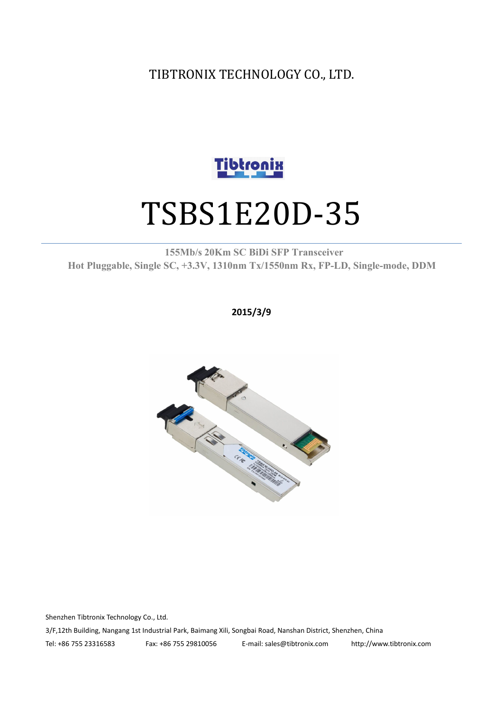TIBTRONIX TECHNOLOGY CO., LTD.



# TSBS1E20D-35

**155Mb/s 20Km SC BiDi SFP Transceiver Hot Pluggable, Single SC, +3.3V, 1310nm Tx/1550nm Rx, FP-LD, Single-mode, DDM**

**2015/3/9**



Shenzhen Tibtronix Technology Co., Ltd. 3/F,12th Building, Nangang 1st Industrial Park, Baimang Xili, Songbai Road, Nanshan District, Shenzhen, China Tel: +86 755 23316583 Fax: +86 755 29810056 E-mail: sales@tibtronix.com http://www.tibtronix.com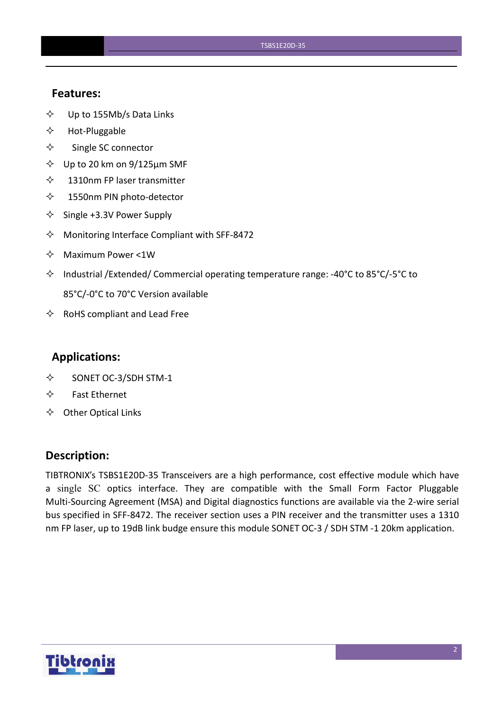#### **Features:**

- $\diamond$  Up to 155Mb/s Data Links
- $\Leftrightarrow$  Hot-Pluggable
- $\Leftrightarrow$  Single SC connector
- $\diamond$  Up to 20 km on 9/125 µm SMF
- $\diamond$  1310nm FP laser transmitter
- 1550nm PIN photo-detector
- $\diamond$  Single +3.3V Power Supply
- $\Diamond$  Monitoring Interface Compliant with SFF-8472
- $\Leftrightarrow$  Maximum Power <1W
- $\Diamond$  Industrial /Extended/ Commercial operating temperature range: -40°C to 85°C/-5°C to 85°C/-0°C to 70°C Version available
- $\Leftrightarrow$  RoHS compliant and Lead Free

#### **Applications:**

- $\diamond$  SONET OC-3/SDH STM-1
- $\Leftrightarrow$  Fast Ethernet
- $\Leftrightarrow$  Other Optical Links

#### **Description:**

TIBTRONIX's TSBS1E20D-35 Transceivers are a high performance, cost effective module which have a single SC optics interface. They are compatible with the Small Form Factor Pluggable Multi-Sourcing Agreement (MSA) and Digital diagnostics functions are available via the 2-wire serial bus specified in SFF-8472. The receiver section uses a PIN receiver and the transmitter uses a 1310 nm FP laser, up to 19dB link budge ensure this module SONET OC-3 / SDH STM -1 20km application.

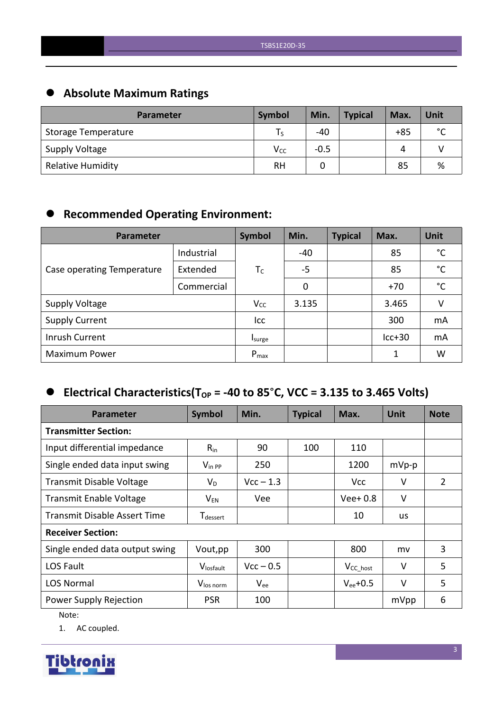## **Absolute Maximum Ratings**

| <b>Parameter</b>           | Symbol    | Min.   | <b>Typical</b> | Max.  | Unit        |
|----------------------------|-----------|--------|----------------|-------|-------------|
| <b>Storage Temperature</b> |           | $-40$  |                | $+85$ | $\sim$<br>◡ |
| <b>Supply Voltage</b>      | $V_{CC}$  | $-0.5$ |                | Δ     |             |
| <b>Relative Humidity</b>   | <b>RH</b> |        |                | 85    | %           |

## **Recommended Operating Environment:**

| Parameter                  | Symbol     | Min.      | <b>Typical</b> | Max. | Unit     |              |
|----------------------------|------------|-----------|----------------|------|----------|--------------|
|                            | Industrial |           | -40            |      | 85       | $^{\circ}$ C |
| Case operating Temperature | Extended   | $T_C$     | $-5$           |      | 85       | $^{\circ}$ C |
|                            | Commercial |           | 0              |      | $+70$    | $^{\circ}$ C |
| <b>Supply Voltage</b>      |            | $V_{CC}$  | 3.135          |      | 3.465    | v            |
| <b>Supply Current</b>      |            | Icc       |                |      | 300      | mA           |
| Inrush Current             |            | Isurge    |                |      | $lcc+30$ | mA           |
| <b>Maximum Power</b>       |            | $P_{max}$ |                |      | 1        | W            |

## $\bullet$  Electrical Characteristics(T<sub>OP</sub> = -40 to 85°C, VCC = 3.135 to 3.465 Volts)

| <b>Parameter</b>                    | Symbol                      | Min.        | <b>Typical</b> | Max.                 | <b>Unit</b> | <b>Note</b>    |  |
|-------------------------------------|-----------------------------|-------------|----------------|----------------------|-------------|----------------|--|
| <b>Transmitter Section:</b>         |                             |             |                |                      |             |                |  |
| Input differential impedance        | $R_{in}$                    | 90          | 100            | 110                  |             |                |  |
| Single ended data input swing       | $V_{\text{in PP}}$          | 250         |                | 1200                 | $mVp-p$     |                |  |
| Transmit Disable Voltage            | $V_D$                       | $Vcc - 1.3$ |                | <b>Vcc</b>           | V           | $\overline{2}$ |  |
| <b>Transmit Enable Voltage</b>      | $\mathsf{V}_{\mathsf{EN}}$  | Vee         |                | $Vee+0.8$            | $\vee$      |                |  |
| <b>Transmit Disable Assert Time</b> | <b>T</b> <sub>dessert</sub> |             |                | 10                   | <b>us</b>   |                |  |
| <b>Receiver Section:</b>            |                             |             |                |                      |             |                |  |
| Single ended data output swing      | Vout, pp                    | 300         |                | 800                  | mv          | 3              |  |
| LOS Fault                           | Vlosfault                   | $Vcc - 0.5$ |                | V <sub>CC_host</sub> | $\vee$      | 5              |  |
| <b>LOS Normal</b>                   | V <sub>los norm</sub>       | $V_{ee}$    |                | $V_{ee}$ +0.5        | V           | 5              |  |
| Power Supply Rejection              | <b>PSR</b>                  | 100         |                |                      | mVpp        | 6              |  |

Note:

1. AC coupled.

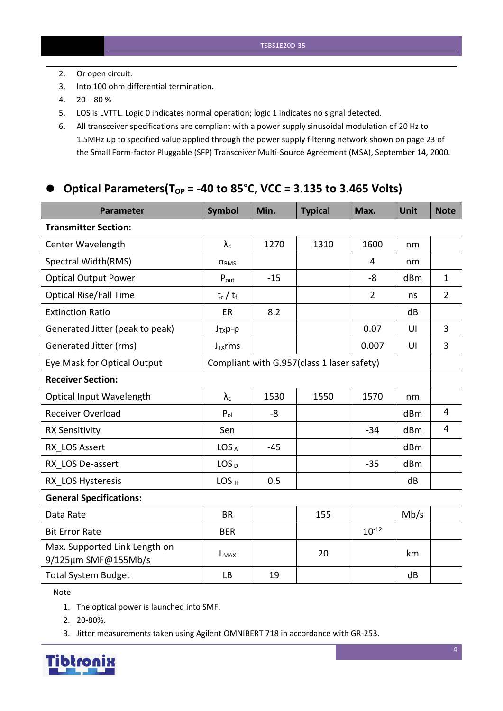- 2. Or open circuit.
- 3. Into 100 ohm differential termination.
- $4. \quad 20 80\%$
- 5. LOS is LVTTL. Logic 0 indicates normal operation; logic 1 indicates no signal detected.
- 6. All transceiver specifications are compliant with a power supply sinusoidal modulation of 20 Hz to 1.5MHz up to specified value applied through the powersupply filtering network shown on page 23 of the Small Form-factor Pluggable (SFP) Transceiver Multi-Source Agreement (MSA), September 14, 2000.

## **Optical Parameters(TOP = -40 to 85**°**C, VCC = 3.135 to 3.465 Volts)**

| <b>Parameter</b>                                     | <b>Symbol</b>                              | Min.  | <b>Typical</b> | Max.           | <b>Unit</b> | <b>Note</b>    |
|------------------------------------------------------|--------------------------------------------|-------|----------------|----------------|-------------|----------------|
| <b>Transmitter Section:</b>                          |                                            |       |                |                |             |                |
| Center Wavelength                                    | $\lambda_{\rm c}$                          | 1270  | 1310           | 1600           | nm          |                |
| Spectral Width(RMS)                                  | ORMS                                       |       |                | 4              | nm          |                |
| <b>Optical Output Power</b>                          | $P_{\text{out}}$                           | $-15$ |                | $-8$           | dBm         | $\mathbf{1}$   |
| <b>Optical Rise/Fall Time</b>                        | $t_r / t_f$                                |       |                | $\overline{2}$ | ns          | $\overline{2}$ |
| <b>Extinction Ratio</b>                              | ER                                         | 8.2   |                |                | dB          |                |
| Generated Jitter (peak to peak)                      | $J_{TX}p-p$                                |       |                | 0.07           | UI          | $\overline{3}$ |
| Generated Jitter (rms)                               | $J_{TX}$ rms                               |       |                | 0.007          | UI          | $\overline{3}$ |
| Eye Mask for Optical Output                          | Compliant with G.957(class 1 laser safety) |       |                |                |             |                |
| <b>Receiver Section:</b>                             |                                            |       |                |                |             |                |
| <b>Optical Input Wavelength</b>                      | $\lambda_{\rm c}$                          | 1530  | 1550           | 1570           | nm          |                |
| <b>Receiver Overload</b>                             | $P_{ol}$                                   | -8    |                |                | dBm         | 4              |
| <b>RX Sensitivity</b>                                | Sen                                        |       |                | $-34$          | dBm         | $\overline{4}$ |
| RX LOS Assert                                        | LOS <sub>A</sub>                           | $-45$ |                |                | dBm         |                |
| RX LOS De-assert                                     | LOS <sub>D</sub>                           |       |                | $-35$          | dBm         |                |
| RX LOS Hysteresis                                    | LOS <sub>H</sub>                           | 0.5   |                |                | dB          |                |
| <b>General Specifications:</b>                       |                                            |       |                |                |             |                |
| Data Rate                                            | <b>BR</b>                                  |       | 155            |                | Mb/s        |                |
| <b>Bit Error Rate</b>                                | <b>BER</b>                                 |       |                | $10^{-12}$     |             |                |
| Max. Supported Link Length on<br>9/125µm SMF@155Mb/s | $L_{MAX}$                                  |       | 20             |                | km          |                |
| <b>Total System Budget</b>                           | <b>LB</b>                                  | 19    |                |                | dB          |                |

Note

- 1. The optical power is launched into SMF.
- 2. 20-80%.
- 3. Jitter measurements taken using Agilent OMNIBERT 718 in accordance with GR-253.

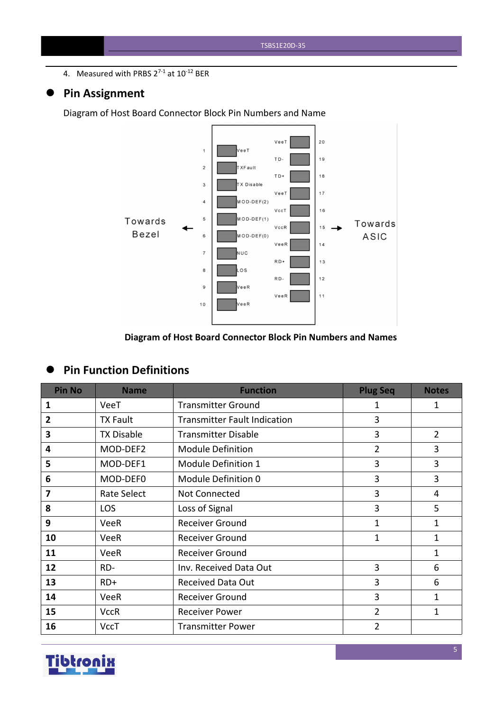4. Measured with PRBS  $2^{7-1}$  at  $10^{-12}$  BER

## **Pin Assignment**

Diagram of Host Board Connector Block Pin Numbers and Name



#### **Diagram of Host Board Connector Block Pin Numbers and Names**

## **Pin Function Definitions**

| <b>Pin No</b> | <b>Name</b>       | <b>Function</b>                     | <b>Plug Seq</b> | <b>Notes</b>   |
|---------------|-------------------|-------------------------------------|-----------------|----------------|
| 1             | VeeT              | <b>Transmitter Ground</b>           | 1               | 1              |
| 2             | <b>TX Fault</b>   | <b>Transmitter Fault Indication</b> | 3               |                |
| 3             | <b>TX Disable</b> | <b>Transmitter Disable</b>          | 3               | $\overline{2}$ |
| 4             | MOD-DEF2          | <b>Module Definition</b>            | $\overline{2}$  | 3              |
| 5             | MOD-DEF1          | Module Definition 1                 | 3               | 3              |
| 6             | MOD-DEF0          | Module Definition 0                 | 3               | 3              |
| 7             | Rate Select       | Not Connected                       | $\overline{3}$  | $\overline{4}$ |
| 8             | <b>LOS</b>        | Loss of Signal                      | 3               | 5              |
| 9             | <b>VeeR</b>       | <b>Receiver Ground</b>              | $\mathbf{1}$    | 1              |
| 10            | <b>VeeR</b>       | <b>Receiver Ground</b>              | $\mathbf{1}$    | 1              |
| 11            | VeeR              | <b>Receiver Ground</b>              |                 | 1              |
| 12            | RD-               | Inv. Received Data Out              | 3               | 6              |
| 13            | $RD+$             | <b>Received Data Out</b>            | 3               | 6              |
| 14            | VeeR              | Receiver Ground                     | 3               | 1              |
| 15            | <b>VccR</b>       | <b>Receiver Power</b>               | $\overline{2}$  | 1              |
| 16            | <b>VccT</b>       | <b>Transmitter Power</b>            | $\overline{2}$  |                |

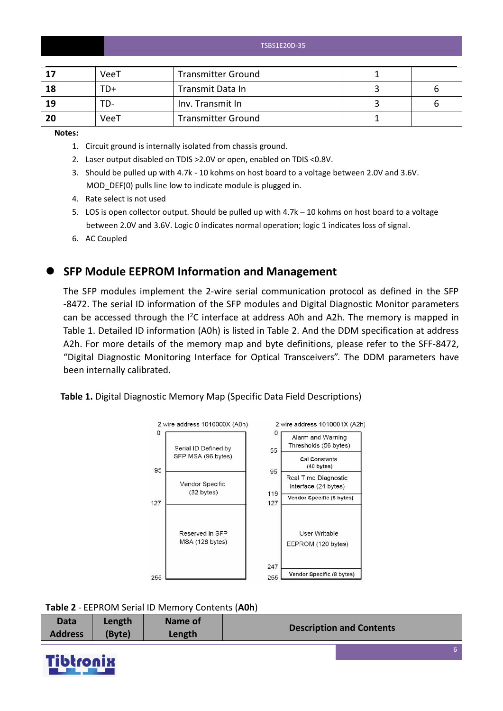TSBS1E20D-35

|    | VeeT | <b>Transmitter Ground</b> |  |
|----|------|---------------------------|--|
| 18 | TD+  | Transmit Data In          |  |
| 19 | TD-  | Inv. Transmit In          |  |
| 20 | VeeT | <b>Transmitter Ground</b> |  |

**Notes:**

- 1. Circuit ground is internally isolated from chassis ground.
- 2. Laser output disabled on TDIS >2.0V or open, enabled on TDIS <0.8V.
- 3. Should be pulled up with 4.7k 10 kohms on host board to a voltage between 2.0V and 3.6V. MOD DEF(0) pulls line low to indicate module is plugged in.
- 4. Rate select is not used
- 5. LOS is open collector output. Should be pulled up with 4.7k 10 kohms on host board to a voltage between 2.0V and 3.6V. Logic 0 indicates normal operation; logic 1 indicates loss of signal.
- 6. AC Coupled

#### **SFP Module EEPROM Information and Management**

The SFP modules implement the 2-wire serial communication protocol as defined in the SFP -8472. The serial ID information of the SFP modules and Digital Diagnostic Monitor parameters can be accessed through the  $I^2C$  interface at address A0h and A2h. The memory is mapped in Table 1. Detailed ID information (A0h) is listed in Table 2. And the DDM specification at address A2h. For more details of the memory map and byte definitions, please refer to the SFF-8472, "Digital Diagnostic Monitoring Interface for Optical Transceivers". The DDM parameters have been internally calibrated.

**Table 1.** Digital Diagnostic Memory Map (Specific Data Field Descriptions)



| <b>Data</b>    | Length | <b>Name of</b> | <b>Description and Contents</b> |
|----------------|--------|----------------|---------------------------------|
| <b>Address</b> | (Byte) | Length         |                                 |

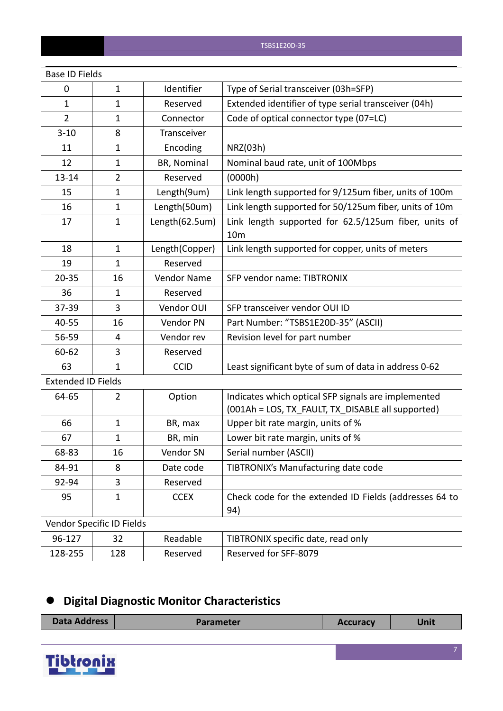| <b>Base ID Fields</b>     |                           |                |                                                                                                          |
|---------------------------|---------------------------|----------------|----------------------------------------------------------------------------------------------------------|
| 0                         | $\mathbf{1}$              | Identifier     | Type of Serial transceiver (03h=SFP)                                                                     |
| 1                         | $\mathbf{1}$              | Reserved       | Extended identifier of type serial transceiver (04h)                                                     |
| $\overline{2}$            | $\mathbf{1}$              | Connector      | Code of optical connector type (07=LC)                                                                   |
| $3 - 10$                  | 8                         | Transceiver    |                                                                                                          |
| 11                        | $\mathbf{1}$              | Encoding       | NRZ(03h)                                                                                                 |
| 12                        | $\mathbf{1}$              | BR, Nominal    | Nominal baud rate, unit of 100Mbps                                                                       |
| $13 - 14$                 | $\overline{2}$            | Reserved       | (0000h)                                                                                                  |
| 15                        | $\mathbf{1}$              | Length(9um)    | Link length supported for 9/125um fiber, units of 100m                                                   |
| 16                        | $\mathbf{1}$              | Length(50um)   | Link length supported for 50/125um fiber, units of 10m                                                   |
| 17                        | $\mathbf{1}$              | Length(62.5um) | Link length supported for 62.5/125um fiber, units of<br>10 <sub>m</sub>                                  |
| 18                        | $\mathbf{1}$              | Length(Copper) | Link length supported for copper, units of meters                                                        |
| 19                        | $\mathbf{1}$              | Reserved       |                                                                                                          |
| $20 - 35$                 | 16                        | Vendor Name    | SFP vendor name: TIBTRONIX                                                                               |
| 36                        | $\mathbf{1}$              | Reserved       |                                                                                                          |
| 37-39                     | 3                         | Vendor OUI     | SFP transceiver vendor OUI ID                                                                            |
| 40-55                     | 16                        | Vendor PN      | Part Number: "TSBS1E20D-35" (ASCII)                                                                      |
| 56-59                     | 4                         | Vendor rev     | Revision level for part number                                                                           |
| 60-62                     | 3                         | Reserved       |                                                                                                          |
| 63                        | $\mathbf{1}$              | <b>CCID</b>    | Least significant byte of sum of data in address 0-62                                                    |
| <b>Extended ID Fields</b> |                           |                |                                                                                                          |
| 64-65                     | $\overline{2}$            | Option         | Indicates which optical SFP signals are implemented<br>(001Ah = LOS, TX FAULT, TX DISABLE all supported) |
| 66                        | $\mathbf{1}$              | BR, max        | Upper bit rate margin, units of %                                                                        |
| 67                        | $\mathbf{1}$              | BR, min        | Lower bit rate margin, units of %                                                                        |
| 68-83                     | 16                        | Vendor SN      | Serial number (ASCII)                                                                                    |
| 84-91                     | 8                         | Date code      | TIBTRONIX's Manufacturing date code                                                                      |
| 92-94                     | $\mathbf{3}$              | Reserved       |                                                                                                          |
| 95                        | $\mathbf{1}$              | <b>CCEX</b>    | Check code for the extended ID Fields (addresses 64 to<br>94)                                            |
|                           | Vendor Specific ID Fields |                |                                                                                                          |
| 96-127                    | 32                        | Readable       | TIBTRONIX specific date, read only                                                                       |
| 128-255                   | 128                       | Reserved       | Reserved for SFF-8079                                                                                    |

# **Digital Diagnostic Monitor Characteristics**

| <b>Data Address</b> | <b>Parameter</b> | <b>Accuracy</b> | Unit |
|---------------------|------------------|-----------------|------|
|                     |                  |                 |      |

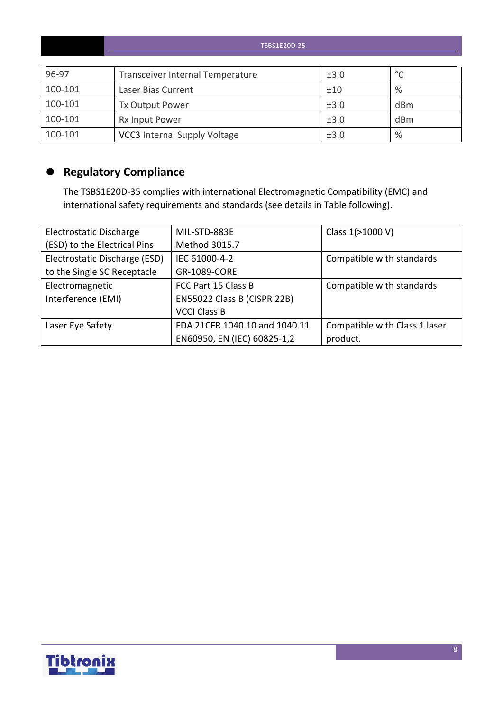|         | TSBS1E20D-35                        |      |         |  |  |  |  |  |
|---------|-------------------------------------|------|---------|--|--|--|--|--|
| 96-97   | Transceiver Internal Temperature    | ±3.0 | $\circ$ |  |  |  |  |  |
| 100-101 | Laser Bias Current                  | ±10  | %       |  |  |  |  |  |
| 100-101 | <b>Tx Output Power</b>              | ±3.0 | dBm     |  |  |  |  |  |
| 100-101 | <b>Rx Input Power</b>               | ±3.0 | dBm     |  |  |  |  |  |
| 100-101 | <b>VCC3</b> Internal Supply Voltage | ±3.0 | %       |  |  |  |  |  |

## **Regulatory Compliance**

The TSBS1E20D-35 complies with international Electromagnetic Compatibility (EMC) and international safety requirements and standards (see details in Table following).

| Electrostatic Discharge       | MIL-STD-883E                  | Class 1(>1000 V)              |
|-------------------------------|-------------------------------|-------------------------------|
| (ESD) to the Electrical Pins  | Method 3015.7                 |                               |
| Electrostatic Discharge (ESD) | IEC 61000-4-2                 | Compatible with standards     |
| to the Single SC Receptacle   | GR-1089-CORE                  |                               |
| Electromagnetic               | FCC Part 15 Class B           | Compatible with standards     |
| Interference (EMI)            | EN55022 Class B (CISPR 22B)   |                               |
|                               | <b>VCCI Class B</b>           |                               |
| Laser Eye Safety              | FDA 21CFR 1040.10 and 1040.11 | Compatible with Class 1 laser |
|                               | EN60950, EN (IEC) 60825-1,2   | product.                      |

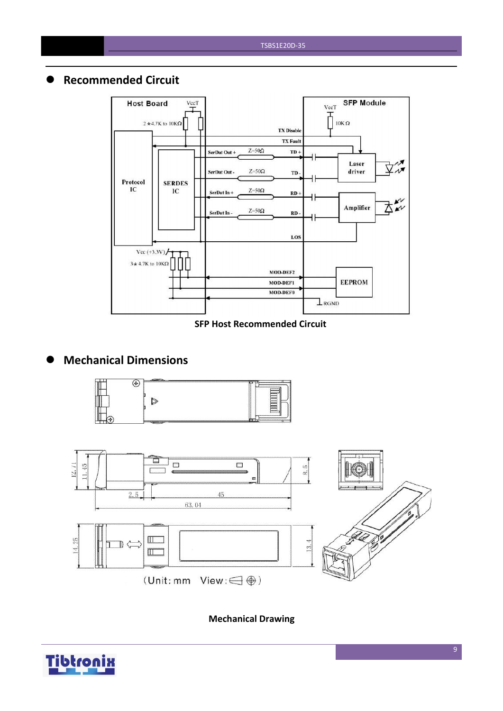## **Recommended Circuit**



#### **SFP Host Recommended Circuit**

## **Mechanical Dimensions**





**Mechanical Drawing**